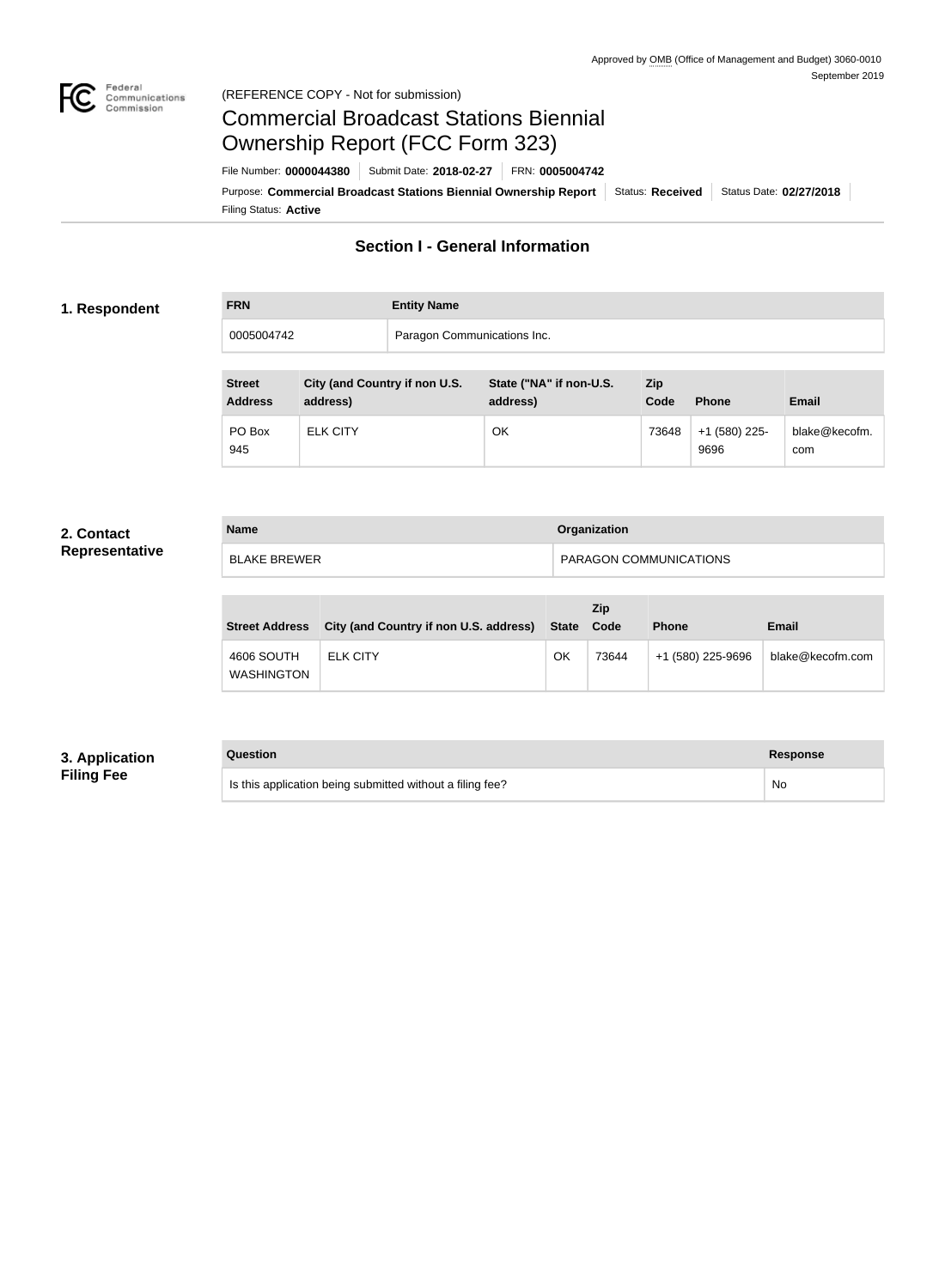

#### Federal<br>Communications<br>Commission (REFERENCE COPY - Not for submission)

# Commercial Broadcast Stations Biennial Ownership Report (FCC Form 323)

Filing Status: **Active** Purpose: Commercial Broadcast Stations Biennial Ownership Report Status: Received Status Date: 02/27/2018 File Number: **0000044380** Submit Date: **2018-02-27** FRN: **0005004742**

## **Section I - General Information**

#### **1. Respondent**

**FRN Entity Name** 0005004742 Paragon Communications Inc.

| <b>Street</b><br><b>Address</b> | City (and Country if non U.S.<br>address) | State ("NA" if non-U.S.<br>address) | <b>Zip</b><br>Code | <b>Phone</b>          | <b>Email</b>         |
|---------------------------------|-------------------------------------------|-------------------------------------|--------------------|-----------------------|----------------------|
| PO Box<br>945                   | <b>ELK CITY</b>                           | ОΚ                                  | 73648              | +1 (580) 225-<br>9696 | blake@kecofm.<br>com |

#### **2. Contact Representative**

| <b>Name</b>  | Organization                  |  |
|--------------|-------------------------------|--|
| BLAKE BREWER | <b>PARAGON COMMUNICATIONS</b> |  |

| <b>Street Address</b>           | City (and Country if non U.S. address) | State | Zip<br>Code | <b>Phone</b>      | <b>Email</b>     |
|---------------------------------|----------------------------------------|-------|-------------|-------------------|------------------|
| 4606 SOUTH<br><b>WASHINGTON</b> | <b>ELK CITY</b>                        | OK    | 73644       | +1 (580) 225-9696 | blake@kecofm.com |

#### **3. Application Filing Fee**

| Question                                                  | <b>Response</b> |
|-----------------------------------------------------------|-----------------|
| Is this application being submitted without a filing fee? | No              |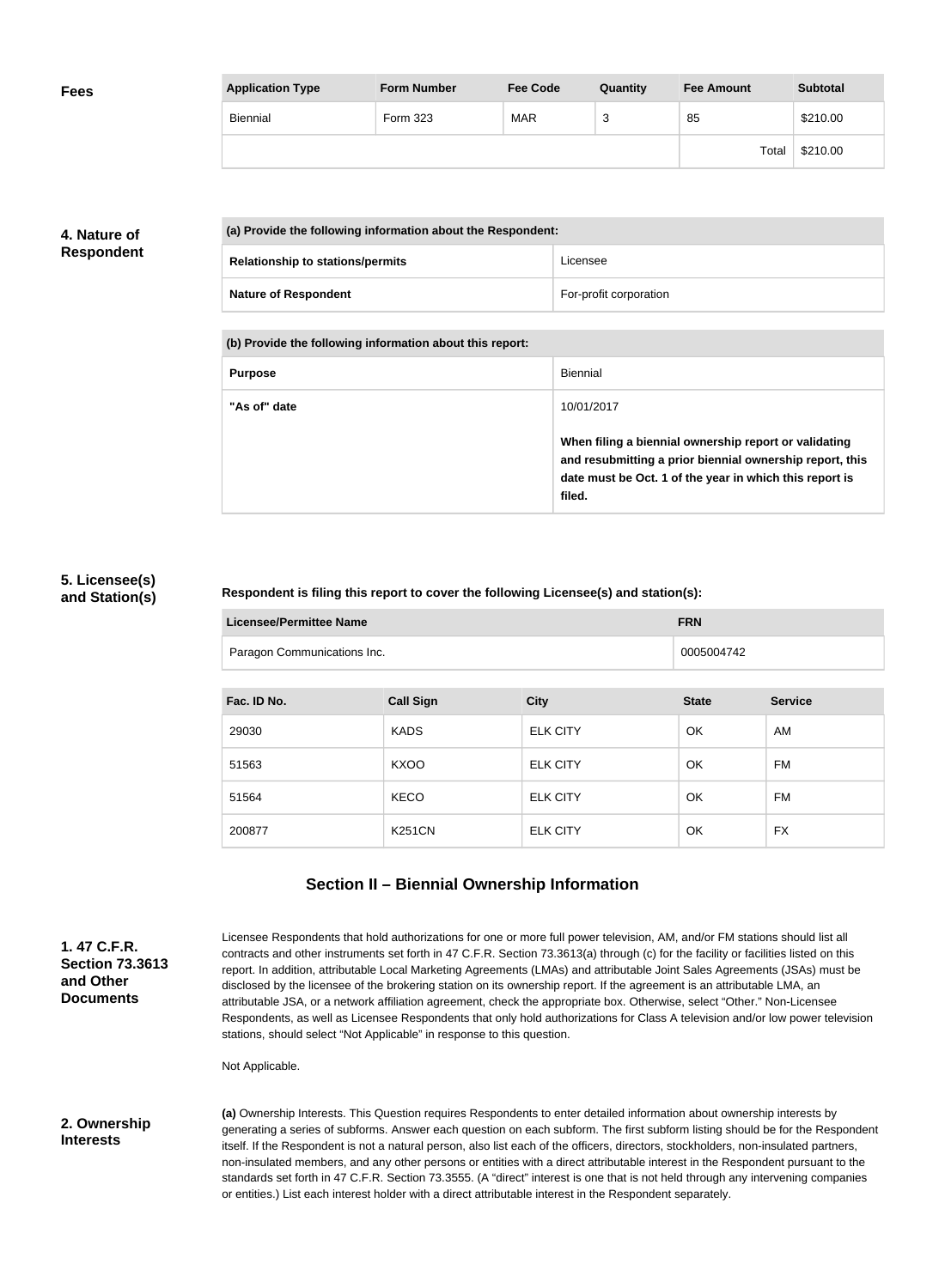| <b>Fees</b> | <b>Application Type</b> | <b>Form Number</b> | <b>Fee Code</b> | Quantity | <b>Fee Amount</b> | <b>Subtotal</b> |
|-------------|-------------------------|--------------------|-----------------|----------|-------------------|-----------------|
|             | <b>Biennial</b>         | Form 323           | <b>MAR</b>      | ົ<br>ັ   | 85                | \$210.00        |
|             |                         |                    |                 |          | Total             | \$210.00        |

### **4. Nature of Respondent**

| (a) Provide the following information about the Respondent: |                        |  |
|-------------------------------------------------------------|------------------------|--|
| <b>Relationship to stations/permits</b>                     | Licensee               |  |
| <b>Nature of Respondent</b>                                 | For-profit corporation |  |

**(b) Provide the following information about this report:**

| <b>Purpose</b> | Biennial                                                                                                                                                                               |
|----------------|----------------------------------------------------------------------------------------------------------------------------------------------------------------------------------------|
| "As of" date   | 10/01/2017                                                                                                                                                                             |
|                | When filing a biennial ownership report or validating<br>and resubmitting a prior biennial ownership report, this<br>date must be Oct. 1 of the year in which this report is<br>filed. |

#### **5. Licensee(s) and Station(s)**

#### **Respondent is filing this report to cover the following Licensee(s) and station(s):**

| <b>Licensee/Permittee Name</b> | <b>FRN</b> |
|--------------------------------|------------|
| Paragon Communications Inc.    | 0005004742 |

| Fac. ID No. | <b>Call Sign</b> | <b>City</b>     | <b>State</b> | <b>Service</b> |
|-------------|------------------|-----------------|--------------|----------------|
| 29030       | <b>KADS</b>      | <b>ELK CITY</b> | OK           | AM             |
| 51563       | <b>KXOO</b>      | <b>ELK CITY</b> | OK           | FM             |
| 51564       | <b>KECO</b>      | <b>ELK CITY</b> | OK           | FM             |
| 200877      | <b>K251CN</b>    | <b>ELK CITY</b> | OK           | <b>FX</b>      |

## **Section II – Biennial Ownership Information**

**1. 47 C.F.R. Section 73.3613 and Other Documents**

Licensee Respondents that hold authorizations for one or more full power television, AM, and/or FM stations should list all contracts and other instruments set forth in 47 C.F.R. Section 73.3613(a) through (c) for the facility or facilities listed on this report. In addition, attributable Local Marketing Agreements (LMAs) and attributable Joint Sales Agreements (JSAs) must be disclosed by the licensee of the brokering station on its ownership report. If the agreement is an attributable LMA, an attributable JSA, or a network affiliation agreement, check the appropriate box. Otherwise, select "Other." Non-Licensee Respondents, as well as Licensee Respondents that only hold authorizations for Class A television and/or low power television stations, should select "Not Applicable" in response to this question.

Not Applicable.

#### **2. Ownership Interests**

**(a)** Ownership Interests. This Question requires Respondents to enter detailed information about ownership interests by generating a series of subforms. Answer each question on each subform. The first subform listing should be for the Respondent itself. If the Respondent is not a natural person, also list each of the officers, directors, stockholders, non-insulated partners, non-insulated members, and any other persons or entities with a direct attributable interest in the Respondent pursuant to the standards set forth in 47 C.F.R. Section 73.3555. (A "direct" interest is one that is not held through any intervening companies or entities.) List each interest holder with a direct attributable interest in the Respondent separately.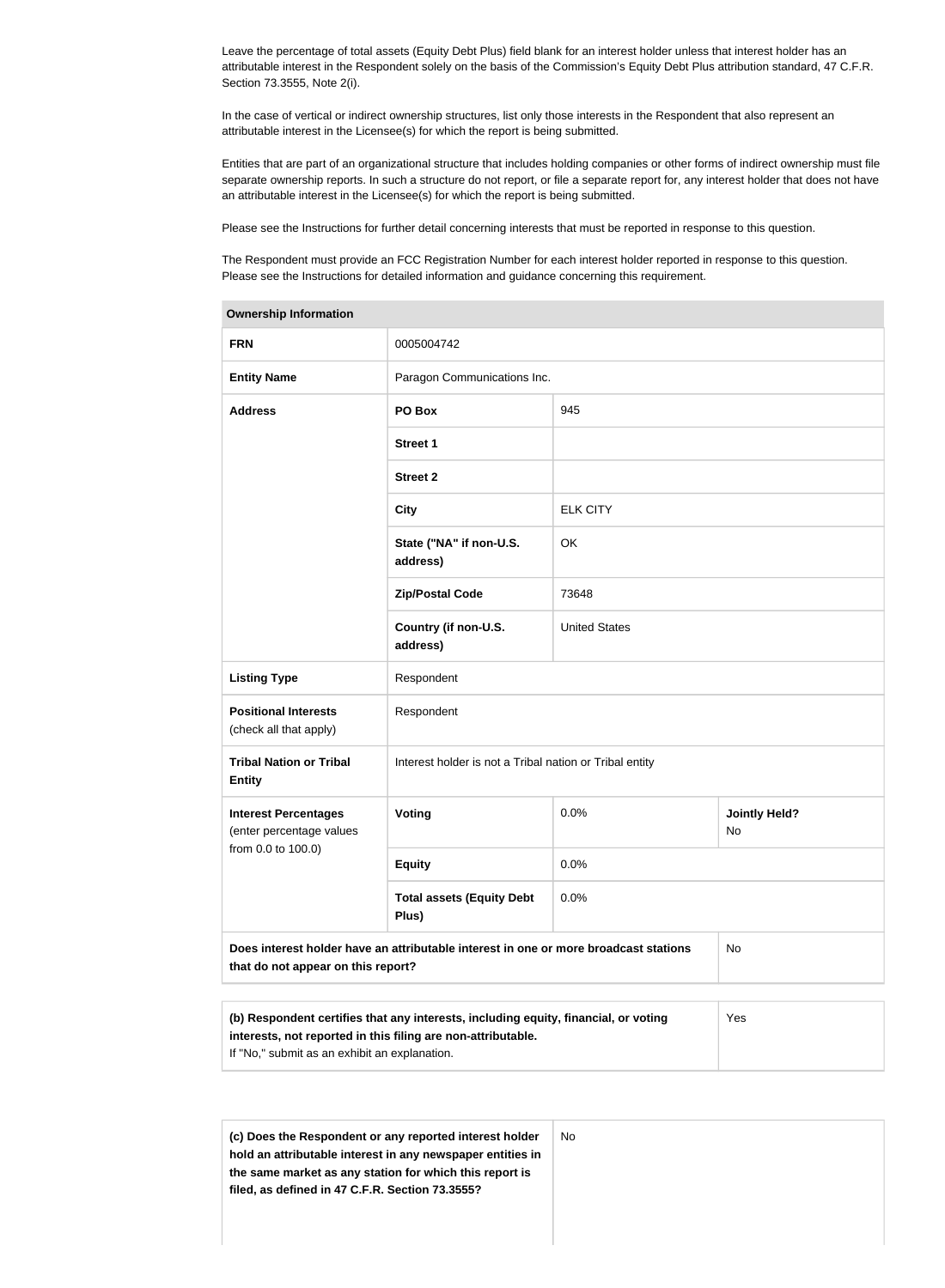Leave the percentage of total assets (Equity Debt Plus) field blank for an interest holder unless that interest holder has an attributable interest in the Respondent solely on the basis of the Commission's Equity Debt Plus attribution standard, 47 C.F.R. Section 73.3555, Note 2(i).

In the case of vertical or indirect ownership structures, list only those interests in the Respondent that also represent an attributable interest in the Licensee(s) for which the report is being submitted.

Entities that are part of an organizational structure that includes holding companies or other forms of indirect ownership must file separate ownership reports. In such a structure do not report, or file a separate report for, any interest holder that does not have an attributable interest in the Licensee(s) for which the report is being submitted.

Please see the Instructions for further detail concerning interests that must be reported in response to this question.

The Respondent must provide an FCC Registration Number for each interest holder reported in response to this question. Please see the Instructions for detailed information and guidance concerning this requirement.

| <b>Ownership Information</b>                                                                                                                                                                         |                                                         |                      |                                   |  |  |
|------------------------------------------------------------------------------------------------------------------------------------------------------------------------------------------------------|---------------------------------------------------------|----------------------|-----------------------------------|--|--|
| <b>FRN</b>                                                                                                                                                                                           | 0005004742                                              |                      |                                   |  |  |
| <b>Entity Name</b>                                                                                                                                                                                   | Paragon Communications Inc.                             |                      |                                   |  |  |
| <b>Address</b>                                                                                                                                                                                       | PO Box                                                  | 945                  |                                   |  |  |
|                                                                                                                                                                                                      | <b>Street 1</b>                                         |                      |                                   |  |  |
|                                                                                                                                                                                                      | <b>Street 2</b>                                         |                      |                                   |  |  |
|                                                                                                                                                                                                      | <b>City</b>                                             | <b>ELK CITY</b>      |                                   |  |  |
|                                                                                                                                                                                                      | State ("NA" if non-U.S.<br>address)                     | OK                   |                                   |  |  |
|                                                                                                                                                                                                      | <b>Zip/Postal Code</b>                                  | 73648                |                                   |  |  |
|                                                                                                                                                                                                      | Country (if non-U.S.<br>address)                        | <b>United States</b> |                                   |  |  |
| <b>Listing Type</b>                                                                                                                                                                                  | Respondent                                              |                      |                                   |  |  |
| <b>Positional Interests</b><br>(check all that apply)                                                                                                                                                | Respondent                                              |                      |                                   |  |  |
| <b>Tribal Nation or Tribal</b><br><b>Entity</b>                                                                                                                                                      | Interest holder is not a Tribal nation or Tribal entity |                      |                                   |  |  |
| <b>Interest Percentages</b><br>(enter percentage values                                                                                                                                              | Voting                                                  | 0.0%                 | <b>Jointly Held?</b><br><b>No</b> |  |  |
| from 0.0 to 100.0)                                                                                                                                                                                   | <b>Equity</b>                                           | 0.0%                 |                                   |  |  |
|                                                                                                                                                                                                      | <b>Total assets (Equity Debt</b><br>Plus)               | 0.0%                 |                                   |  |  |
| Does interest holder have an attributable interest in one or more broadcast stations<br>that do not appear on this report?                                                                           | No                                                      |                      |                                   |  |  |
|                                                                                                                                                                                                      |                                                         |                      |                                   |  |  |
| (b) Respondent certifies that any interests, including equity, financial, or voting<br>interests, not reported in this filing are non-attributable.<br>If "No," submit as an exhibit an explanation. | Yes                                                     |                      |                                   |  |  |

| (c) Does the Respondent or any reported interest holder    | No |
|------------------------------------------------------------|----|
| hold an attributable interest in any newspaper entities in |    |
| the same market as any station for which this report is    |    |
| filed, as defined in 47 C.F.R. Section 73.3555?            |    |
|                                                            |    |
|                                                            |    |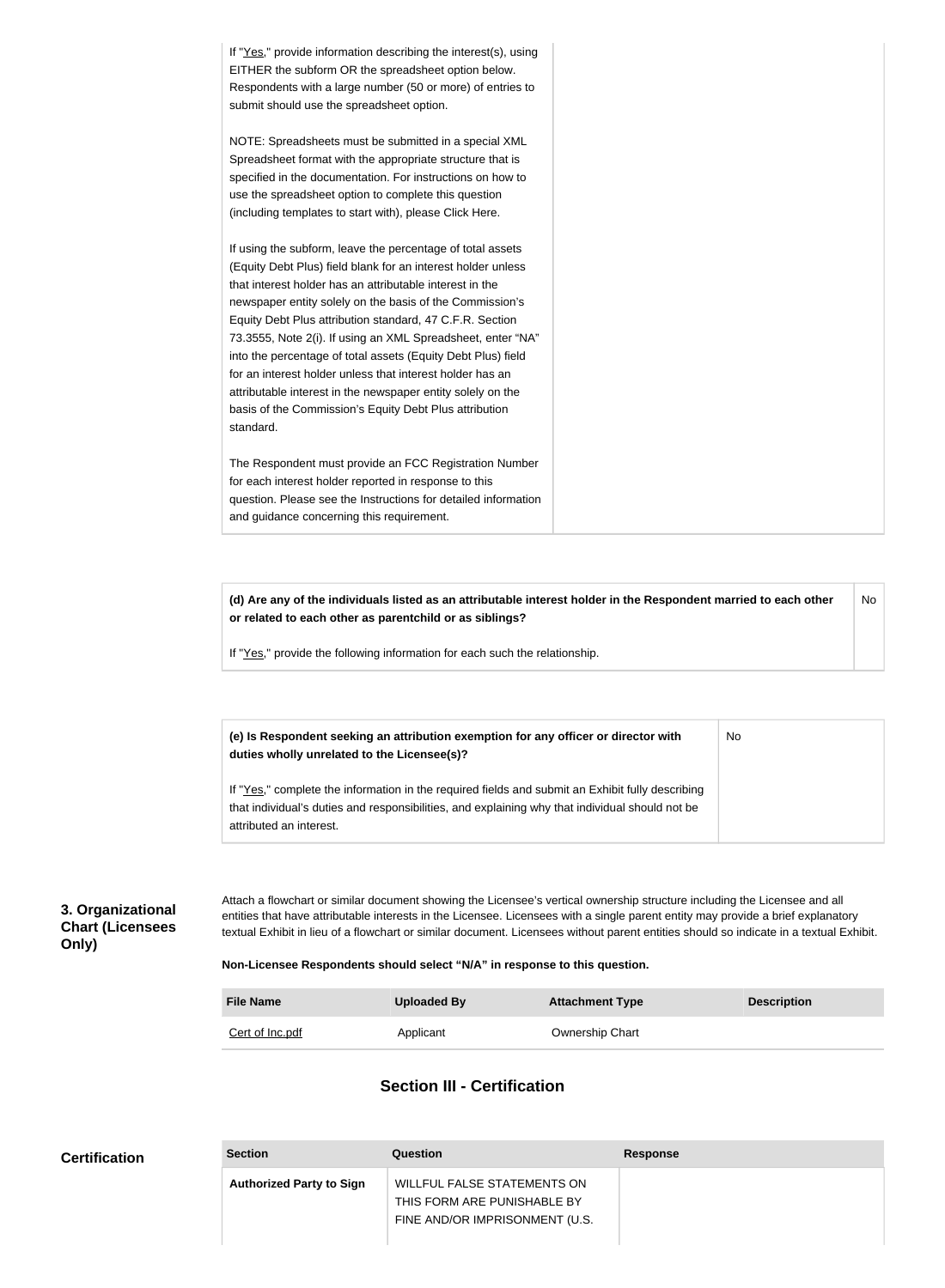If "Yes," provide information describing the interest(s), using EITHER the subform OR the spreadsheet option below. Respondents with a large number (50 or more) of entries to submit should use the spreadsheet option. NOTE: Spreadsheets must be submitted in a special XML Spreadsheet format with the appropriate structure that is specified in the documentation. For instructions on how to use the spreadsheet option to complete this question (including templates to start with), please Click Here. If using the subform, leave the percentage of total assets (Equity Debt Plus) field blank for an interest holder unless that interest holder has an attributable interest in the newspaper entity solely on the basis of the Commission's Equity Debt Plus attribution standard, 47 C.F.R. Section 73.3555, Note 2(i). If using an XML Spreadsheet, enter "NA" into the percentage of total assets (Equity Debt Plus) field for an interest holder unless that interest holder has an attributable interest in the newspaper entity solely on the basis of the Commission's Equity Debt Plus attribution standard. The Respondent must provide an FCC Registration Number for each interest holder reported in response to this question. Please see the Instructions for detailed information and guidance concerning this requirement.

**(d) Are any of the individuals listed as an attributable interest holder in the Respondent married to each other or related to each other as parentchild or as siblings?** No

If "Yes," provide the following information for each such the relationship.

**(e) Is Respondent seeking an attribution exemption for any officer or director with duties wholly unrelated to the Licensee(s)?** No

If "Yes," complete the information in the required fields and submit an Exhibit fully describing that individual's duties and responsibilities, and explaining why that individual should not be attributed an interest.

#### **3. Organizational Chart (Licensees Only)**

Attach a flowchart or similar document showing the Licensee's vertical ownership structure including the Licensee and all entities that have attributable interests in the Licensee. Licensees with a single parent entity may provide a brief explanatory textual Exhibit in lieu of a flowchart or similar document. Licensees without parent entities should so indicate in a textual Exhibit.

#### **Non-Licensee Respondents should select "N/A" in response to this question.**

| <b>File Name</b> | Uploaded By | <b>Attachment Type</b> | <b>Description</b> |
|------------------|-------------|------------------------|--------------------|
| Cert of Inc.pdf  | Applicant   | <b>Ownership Chart</b> |                    |

#### **Section III - Certification**

| <b>Certification</b> | <b>Section</b>                  | Question                                                                                            | Response |
|----------------------|---------------------------------|-----------------------------------------------------------------------------------------------------|----------|
|                      | <b>Authorized Party to Sign</b> | <b>WILLFUL FALSE STATEMENTS ON</b><br>THIS FORM ARE PUNISHABLE BY<br>FINE AND/OR IMPRISONMENT (U.S. |          |